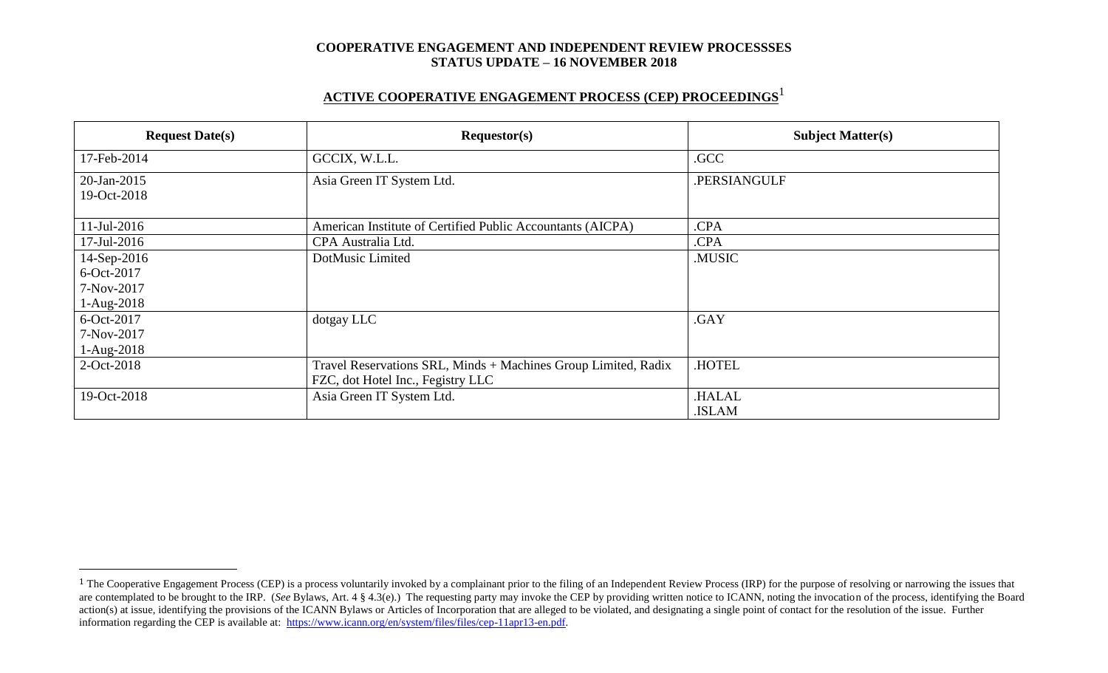# **ACTIVE COOPERATIVE ENGAGEMENT PROCESS (CEP) PROCEEDINGS** 1

| <b>Request Date(s)</b>                   | Requestor(s)                                                                                        | <b>Subject Matter(s)</b> |  |
|------------------------------------------|-----------------------------------------------------------------------------------------------------|--------------------------|--|
| 17-Feb-2014                              | GCCIX, W.L.L.                                                                                       | .GCC                     |  |
| 20-Jan-2015<br>19-Oct-2018               | Asia Green IT System Ltd.                                                                           | .PERSIANGULF             |  |
| 11-Jul-2016                              | American Institute of Certified Public Accountants (AICPA)                                          | .CPA                     |  |
| 17-Jul-2016                              | CPA Australia Ltd.                                                                                  | .CPA                     |  |
| 14-Sep-2016                              | DotMusic Limited                                                                                    | .MUSIC                   |  |
| 6-Oct-2017<br>7-Nov-2017<br>$1-Aug-2018$ |                                                                                                     |                          |  |
| 6-Oct-2017<br>7-Nov-2017<br>$1-Aug-2018$ | dotgay LLC                                                                                          | .GAY                     |  |
| 2-Oct-2018                               | Travel Reservations SRL, Minds + Machines Group Limited, Radix<br>FZC, dot Hotel Inc., Fegistry LLC | .HOTEL                   |  |
| 19-Oct-2018                              | Asia Green IT System Ltd.                                                                           | .HALAL<br>.ISLAM         |  |

 $\overline{a}$ 

<sup>&</sup>lt;sup>1</sup> The Cooperative Engagement Process (CEP) is a process voluntarily invoked by a complainant prior to the filing of an Independent Review Process (IRP) for the purpose of resolving or narrowing the issues that are contemplated to be brought to the IRP. (*See* Bylaws, Art. 4 § 4.3(e).) The requesting party may invoke the CEP by providing written notice to ICANN, noting the invocation of the process, identifying the Board action(s) at issue, identifying the provisions of the ICANN Bylaws or Articles of Incorporation that are alleged to be violated, and designating a single point of contact for the resolution of the issue. Further information regarding the CEP is available at: [https://www.icann.org/en/system/files/files/cep-11apr13-en.pdf.](https://www.icann.org/en/system/files/files/cep-11apr13-en.pdf)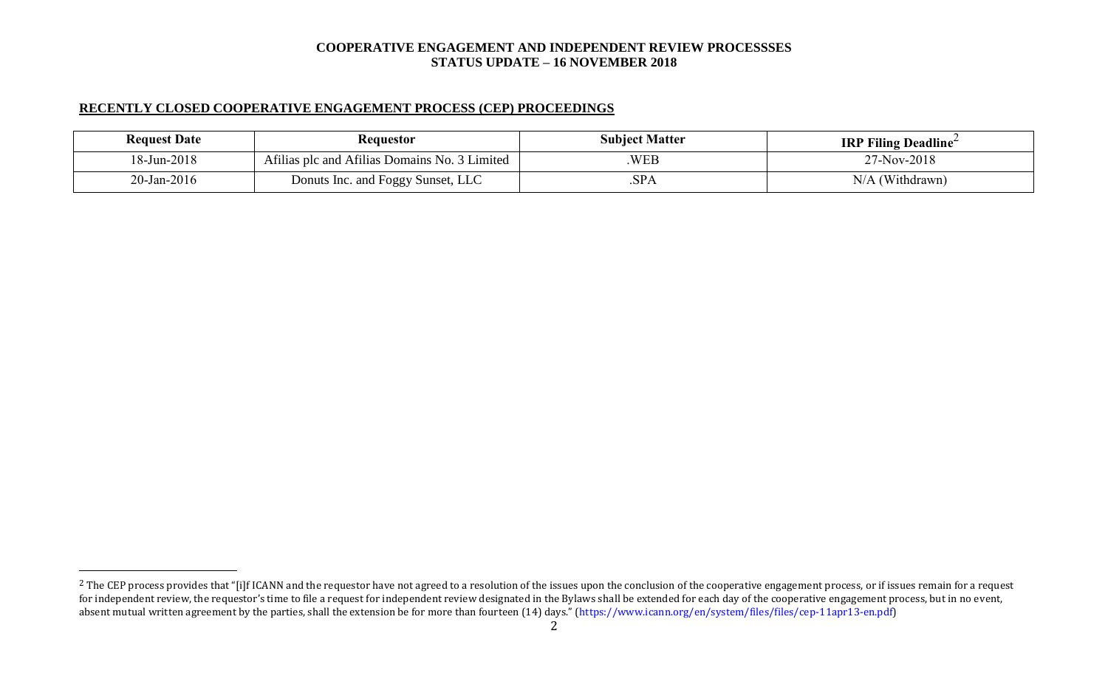# **RECENTLY CLOSED COOPERATIVE ENGAGEMENT PROCESS (CEP) PROCEEDINGS**

 $\overline{a}$ 

| <b>Request Date</b> | <b>Requestor</b>                              | <b>Subject Matter</b> | <b>IRP Filing Deadline</b> |
|---------------------|-----------------------------------------------|-----------------------|----------------------------|
| 18-Jun-2018         | Afilias plc and Afilias Domains No. 3 Limited | WEB                   | 27-Nov-2018                |
| $20$ -Jan-2016      | Donuts Inc. and Foggy Sunset, LLC             | .SPA                  | (Withdrawn)<br>N/A         |

<sup>&</sup>lt;sup>2</sup> The CEP process provides that "[i]f ICANN and the requestor have not agreed to a resolution of the issues upon the conclusion of the cooperative engagement process, or if issues remain for a request for independent review, the requestor's time to file a request for independent review designated in the Bylaws shall be extended for each day of the cooperative engagement process, but in no event, absent mutual written agreement by the parties, shall the extension be for more than fourteen (14) days." (https://www.icann.org/en/system/files/files/cep-11apr13-en.pdf)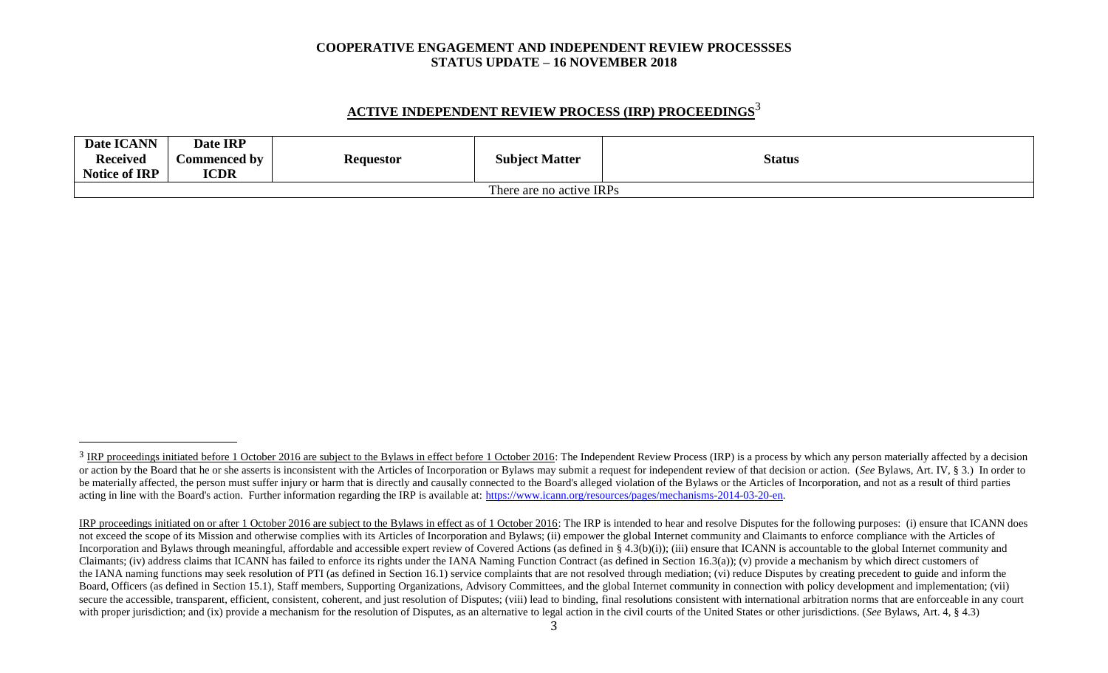# **ACTIVE INDEPENDENT REVIEW PROCESS (IRP) PROCEEDINGS** 3

| Date ICANN               | Date IRP     |           |                       |               |
|--------------------------|--------------|-----------|-----------------------|---------------|
| <b>Received</b>          | Commenced by | Requestor | <b>Subject Matter</b> | <b>Status</b> |
| <b>Notice of IRP</b>     | <b>ICDR</b>  |           |                       |               |
| There are no active IRPs |              |           |                       |               |

l

<sup>&</sup>lt;sup>3</sup> IRP proceedings initiated before 1 October 2016 are subject to the Bylaws in effect before 1 October 2016: The Independent Review Process (IRP) is a process by which any person materially affected by a decision or action by the Board that he or she asserts is inconsistent with the Articles of Incorporation or Bylaws may submit a request for independent review of that decision or action. (See Bylaws, Art. IV, § 3.) In order to be materially affected, the person must suffer injury or harm that is directly and causally connected to the Board's alleged violation of the Bylaws or the Articles of Incorporation, and not as a result of third parties acting in line with the Board's action. Further information regarding the IRP is available at: [https://www.icann.org/resources/pages/mechanisms-2014-03-20-en.](https://www.icann.org/resources/pages/mechanisms-2014-03-20-en)

IRP proceedings initiated on or after 1 October 2016 are subject to the Bylaws in effect as of 1 October 2016: The IRP is intended to hear and resolve Disputes for the following purposes: (i) ensure that ICANN does not exceed the scope of its Mission and otherwise complies with its Articles of Incorporation and Bylaws; (ii) empower the global Internet community and Claimants to enforce compliance with the Articles of Incorporation and Bylaws through meaningful, affordable and accessible expert review of Covered Actions (as defined in § 4.3(b)(i)); (iii) ensure that ICANN is accountable to the global Internet community and Claimants; (iv) address claims that ICANN has failed to enforce its rights under the IANA Naming Function Contract (as defined in Section 16.3(a)); (v) provide a mechanism by which direct customers of the IANA naming functions may seek resolution of PTI (as defined in Section 16.1) service complaints that are not resolved through mediation; (vi) reduce Disputes by creating precedent to guide and inform the Board, Officers (as defined in Section 15.1), Staff members, Supporting Organizations, Advisory Committees, and the global Internet community in connection with policy development and implementation; (vii) secure the accessible, transparent, efficient, consistent, coherent, and just resolution of Disputes; (viii) lead to binding, final resolutions consistent with international arbitration norms that are enforceable in any co with proper jurisdiction; and (ix) provide a mechanism for the resolution of Disputes, as an alternative to legal action in the civil courts of the United States or other jurisdictions. (*See* Bylaws, Art. 4, § 4.3)